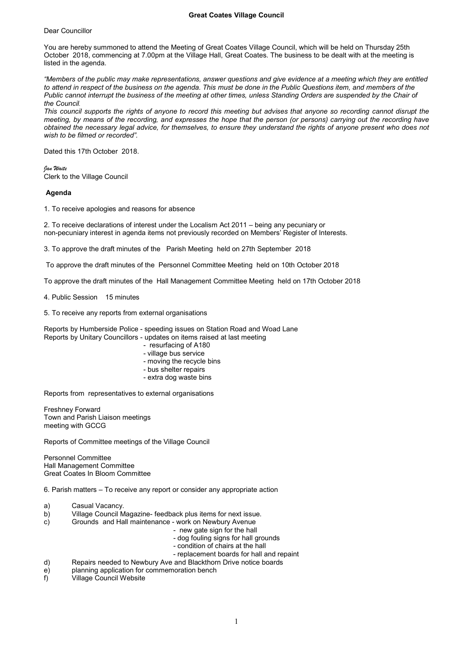Dear Councillor

You are hereby summoned to attend the Meeting of Great Coates Village Council, which will be held on Thursday 25th October 2018, commencing at 7.00pm at the Village Hall, Great Coates. The business to be dealt with at the meeting is listed in the agenda.

*"Members of the public may make representations, answer questions and give evidence at a meeting which they are entitled to attend in respect of the business on the agenda. This must be done in the Public Questions item, and members of the Public cannot interrupt the business of the meeting at other times, unless Standing Orders are suspended by the Chair of the Council.*

*This council supports the rights of anyone to record this meeting but advises that anyone so recording cannot disrupt the meeting, by means of the recording, and expresses the hope that the person (or persons) carrying out the recording have obtained the necessary legal advice, for themselves, to ensure they understand the rights of anyone present who does not wish to be filmed or recorded".*

Dated this 17th October 2018.

*Jan Waite* Clerk to the Village Council

**Agenda**

1. To receive apologies and reasons for absence

2. To receive declarations of interest under the Localism Act 2011 – being any pecuniary or non-pecuniary interest in agenda items not previously recorded on Members' Register of Interests.

3. To approve the draft minutes of the Parish Meeting held on 27th September 2018

To approve the draft minutes of the Personnel Committee Meeting held on 10th October 2018

To approve the draft minutes of the Hall Management Committee Meeting held on 17th October 2018

4. Public Session 15 minutes

5. To receive any reports from external organisations

Reports by Humberside Police - speeding issues on Station Road and Woad Lane Reports by Unitary Councillors - updates on items raised at last meeting

- resurfacing of A180
- village bus service
- moving the recycle bins
- bus shelter repairs
- extra dog waste bins

Reports from representatives to external organisations

Freshney Forward Town and Parish Liaison meetings meeting with GCCG

Reports of Committee meetings of the Village Council

Personnel Committee Hall Management Committee Great Coates In Bloom Committee

6. Parish matters – To receive any report or consider any appropriate action

- a) Casual Vacancy.<br>
b) Village Council M
- Village Council Magazine- feedback plus items for next issue.
- c) Grounds and Hall maintenance work on Newbury Avenue
	- new gate sign for the hall
	- dog fouling signs for hall grounds
	- condition of chairs at the hall
	- replacement boards for hall and repaint
- d) Repairs needed to Newbury Ave and Blackthorn Drive notice boards
- e) planning application for commemoration bench
- f) Village Council Website